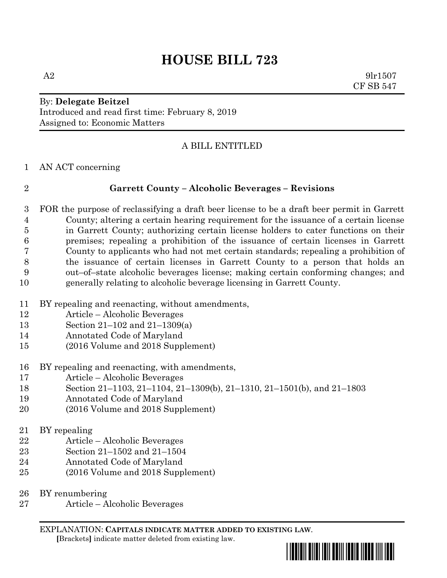# **HOUSE BILL 723**

 $A2 \t\t 9lr1507$ CF SB 547

## By: **Delegate Beitzel** Introduced and read first time: February 8, 2019 Assigned to: Economic Matters

# A BILL ENTITLED

AN ACT concerning

### **Garrett County – Alcoholic Beverages – Revisions**

 FOR the purpose of reclassifying a draft beer license to be a draft beer permit in Garrett County; altering a certain hearing requirement for the issuance of a certain license in Garrett County; authorizing certain license holders to cater functions on their premises; repealing a prohibition of the issuance of certain licenses in Garrett County to applicants who had not met certain standards; repealing a prohibition of the issuance of certain licenses in Garrett County to a person that holds an out–of–state alcoholic beverages license; making certain conforming changes; and generally relating to alcoholic beverage licensing in Garrett County.

- BY repealing and reenacting, without amendments,
- Article Alcoholic Beverages
- Section 21–102 and 21–1309(a)
- Annotated Code of Maryland
- (2016 Volume and 2018 Supplement)
- BY repealing and reenacting, with amendments,
- Article Alcoholic Beverages
- Section 21–1103, 21–1104, 21–1309(b), 21–1310, 21–1501(b), and 21–1803
- Annotated Code of Maryland
- (2016 Volume and 2018 Supplement)
- BY repealing
- Article Alcoholic Beverages
- Section 21–1502 and 21–1504
- Annotated Code of Maryland
- (2016 Volume and 2018 Supplement)
- BY renumbering
- Article Alcoholic Beverages

EXPLANATION: **CAPITALS INDICATE MATTER ADDED TO EXISTING LAW**.  **[**Brackets**]** indicate matter deleted from existing law.

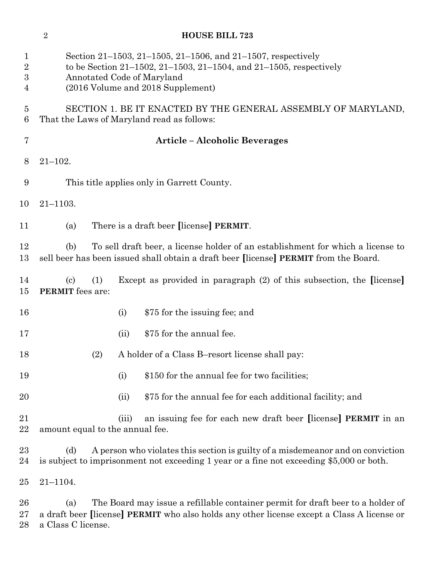| $\mathbf 1$<br>$\overline{\mathbf{2}}$<br>3<br>4 | Section 21–1503, 21–1505, 21–1506, and 21–1507, respectively<br>to be Section 21–1502, 21–1503, 21–1504, and 21–1505, respectively<br>Annotated Code of Maryland<br>(2016 Volume and 2018 Supplement)      |  |  |
|--------------------------------------------------|------------------------------------------------------------------------------------------------------------------------------------------------------------------------------------------------------------|--|--|
| 5<br>6                                           | SECTION 1. BE IT ENACTED BY THE GENERAL ASSEMBLY OF MARYLAND,<br>That the Laws of Maryland read as follows:                                                                                                |  |  |
| 7                                                | <b>Article - Alcoholic Beverages</b>                                                                                                                                                                       |  |  |
| 8                                                | $21 - 102.$                                                                                                                                                                                                |  |  |
| 9                                                | This title applies only in Garrett County.                                                                                                                                                                 |  |  |
| 10                                               | $21 - 1103.$                                                                                                                                                                                               |  |  |
| 11                                               | There is a draft beer [license] PERMIT.<br>(a)                                                                                                                                                             |  |  |
| 12<br>13                                         | To sell draft beer, a license holder of an establishment for which a license to<br>(b)<br>sell beer has been issued shall obtain a draft beer [license] PERMIT from the Board.                             |  |  |
| 14<br>15                                         | Except as provided in paragraph (2) of this subsection, the [license]<br>$\left( \text{c} \right)$<br>(1)<br><b>PERMIT</b> fees are:                                                                       |  |  |
| 16                                               | \$75 for the issuing fee; and<br>(i)                                                                                                                                                                       |  |  |
| 17                                               | \$75 for the annual fee.<br>(ii)                                                                                                                                                                           |  |  |
| 18                                               | A holder of a Class B-resort license shall pay:<br>(2)                                                                                                                                                     |  |  |
| 19                                               | \$150 for the annual fee for two facilities;<br>(i)                                                                                                                                                        |  |  |
| 20                                               | \$75 for the annual fee for each additional facility; and<br>(ii)                                                                                                                                          |  |  |
| 21<br>22                                         | an issuing fee for each new draft beer [license] <b>PERMIT</b> in an<br>(iii)<br>amount equal to the annual fee.                                                                                           |  |  |
| 23<br>24                                         | (d)<br>A person who violates this section is guilty of a misdemeanor and on conviction<br>is subject to imprisonment not exceeding 1 year or a fine not exceeding \$5,000 or both.                         |  |  |
| 25                                               | $21 - 1104.$                                                                                                                                                                                               |  |  |
| $26\,$<br>$27\,$<br>28                           | The Board may issue a refillable container permit for draft beer to a holder of<br>(a)<br>a draft beer [license] PERMIT who also holds any other license except a Class A license or<br>a Class C license. |  |  |

**HOUSE BILL 723**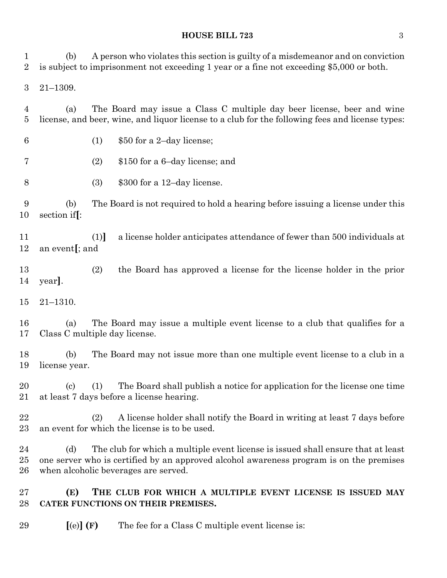### **HOUSE BILL 723** 3

 (b) A person who violates this section is guilty of a misdemeanor and on conviction is subject to imprisonment not exceeding 1 year or a fine not exceeding \$5,000 or both. 21–1309. (a) The Board may issue a Class C multiple day beer license, beer and wine license, and beer, wine, and liquor license to a club for the following fees and license types: (1) \$50 for a 2–day license; (2) \$150 for a 6–day license; and (3) \$300 for a 12–day license. (b) The Board is not required to hold a hearing before issuing a license under this section if**[**: (1)**]** a license holder anticipates attendance of fewer than 500 individuals at an event**[**; and (2) the Board has approved a license for the license holder in the prior year**]**. 21–1310. (a) The Board may issue a multiple event license to a club that qualifies for a Class C multiple day license. (b) The Board may not issue more than one multiple event license to a club in a license year. (c) (1) The Board shall publish a notice for application for the license one time at least 7 days before a license hearing. (2) A license holder shall notify the Board in writing at least 7 days before an event for which the license is to be used. 24 (d) The club for which a multiple event license is issued shall ensure that at least one server who is certified by an approved alcohol awareness program is on the premises when alcoholic beverages are served. **(E) THE CLUB FOR WHICH A MULTIPLE EVENT LICENSE IS ISSUED MAY CATER FUNCTIONS ON THEIR PREMISES.**

**[**(e)**] (F)** The fee for a Class C multiple event license is: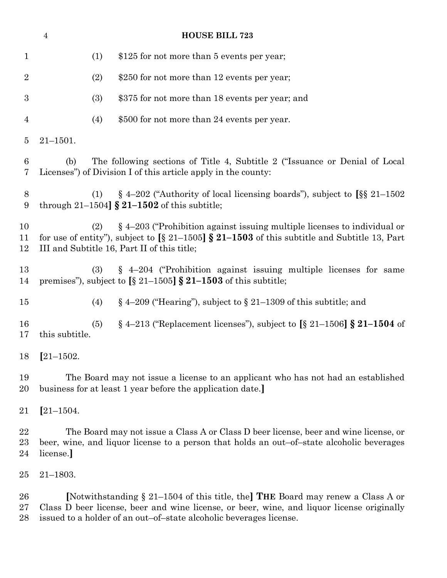| <b>HOUSE BILL 723</b><br>$\overline{4}$ |                                                                                                                                                                                               |                                                                                                                                                                                                                                                       |  |
|-----------------------------------------|-----------------------------------------------------------------------------------------------------------------------------------------------------------------------------------------------|-------------------------------------------------------------------------------------------------------------------------------------------------------------------------------------------------------------------------------------------------------|--|
| $\mathbf{1}$                            | (1)                                                                                                                                                                                           | \$125 for not more than 5 events per year;                                                                                                                                                                                                            |  |
| $\overline{2}$                          | (2)                                                                                                                                                                                           | \$250 for not more than 12 events per year;                                                                                                                                                                                                           |  |
| $\boldsymbol{3}$                        | (3)                                                                                                                                                                                           | \$375 for not more than 18 events per year; and                                                                                                                                                                                                       |  |
| 4                                       | (4)                                                                                                                                                                                           | \$500 for not more than 24 events per year.                                                                                                                                                                                                           |  |
| $\overline{5}$                          | $21 - 1501.$                                                                                                                                                                                  |                                                                                                                                                                                                                                                       |  |
| 6<br>7                                  | (b)                                                                                                                                                                                           | The following sections of Title 4, Subtitle 2 ("Issuance or Denial of Local"<br>Licenses") of Division I of this article apply in the county:                                                                                                         |  |
| 8<br>9                                  | (1)                                                                                                                                                                                           | § 4-202 ("Authority of local licensing boards"), subject to $\S$ § 21-1502<br>through $21-1504$ $\AA$ $21-1502$ of this subtitle;                                                                                                                     |  |
| 10<br>11<br>12                          | (2)                                                                                                                                                                                           | $\S$ 4–203 ("Prohibition against issuing multiple licenses to individual or<br>for use of entity"), subject to $\left[\S 21 - 1505\right] \S 21 - 1503$ of this subtitle and Subtitle 13, Part<br>III and Subtitle 16, Part II of this title;         |  |
| 13<br>14                                | (3)                                                                                                                                                                                           | § 4-204 ("Prohibition against issuing multiple licenses for same<br>premises"), subject to $\left[\S 21 - 1505\right] \S 21 - 1503$ of this subtitle;                                                                                                 |  |
| 15                                      | (4)                                                                                                                                                                                           | $\S$ 4–209 ("Hearing"), subject to $\S$ 21–1309 of this subtitle; and                                                                                                                                                                                 |  |
| 16<br>17                                | (5)<br>this subtitle.                                                                                                                                                                         | $\S$ 4–213 ("Replacement licenses"), subject to [ $\S$ 21–1506] $\S$ 21–1504 of                                                                                                                                                                       |  |
|                                         | 18 [21-1502.                                                                                                                                                                                  |                                                                                                                                                                                                                                                       |  |
| 19<br>20                                | The Board may not issue a license to an applicant who has not had an established<br>business for at least 1 year before the application date.                                                 |                                                                                                                                                                                                                                                       |  |
| 21                                      | $[21 - 1504.$                                                                                                                                                                                 |                                                                                                                                                                                                                                                       |  |
| 22<br>$23\,$<br>24                      | The Board may not issue a Class A or Class D beer license, beer and wine license, or<br>beer, wine, and liquor license to a person that holds an out-of-state alcoholic beverages<br>license. |                                                                                                                                                                                                                                                       |  |
| $25\,$                                  | $21 - 1803.$                                                                                                                                                                                  |                                                                                                                                                                                                                                                       |  |
| 26<br>$27\,$<br>28                      |                                                                                                                                                                                               | [Notwithstanding $\S 21-1504$ of this title, the] THE Board may renew a Class A or<br>Class D beer license, beer and wine license, or beer, wine, and liquor license originally<br>issued to a holder of an out-of-state alcoholic beverages license. |  |